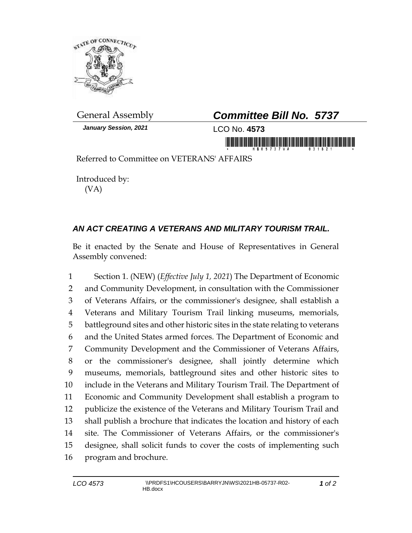

*January Session, 2021* LCO No. **4573**

## General Assembly *Committee Bill No. 5737*

Referred to Committee on VETERANS' AFFAIRS

Introduced by: (VA)

## *AN ACT CREATING A VETERANS AND MILITARY TOURISM TRAIL.*

Be it enacted by the Senate and House of Representatives in General Assembly convened:

 Section 1. (NEW) (*Effective July 1, 2021*) The Department of Economic and Community Development, in consultation with the Commissioner of Veterans Affairs, or the commissioner's designee, shall establish a Veterans and Military Tourism Trail linking museums, memorials, battleground sites and other historic sites in the state relating to veterans and the United States armed forces. The Department of Economic and Community Development and the Commissioner of Veterans Affairs, or the commissioner's designee, shall jointly determine which museums, memorials, battleground sites and other historic sites to include in the Veterans and Military Tourism Trail. The Department of Economic and Community Development shall establish a program to publicize the existence of the Veterans and Military Tourism Trail and shall publish a brochure that indicates the location and history of each site. The Commissioner of Veterans Affairs, or the commissioner's designee, shall solicit funds to cover the costs of implementing such program and brochure.